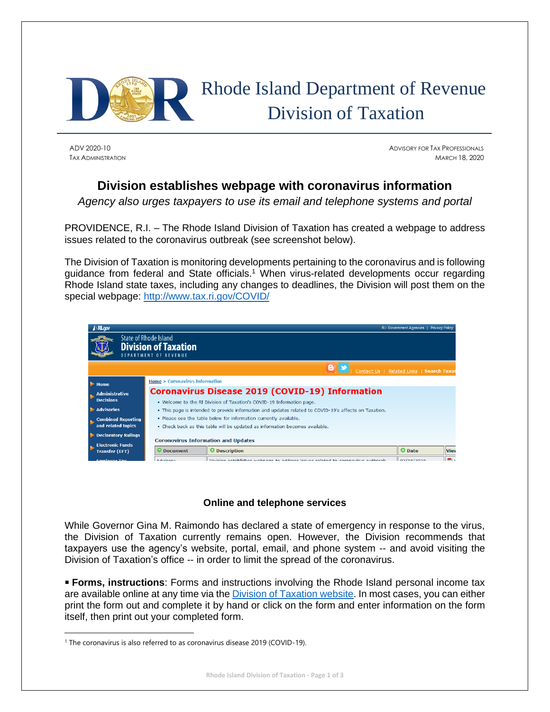

# Rhode Island Department of Revenue Division of Taxation

ADV 2020-10 ADVISORY FOR TAX PROFESSIONALS TAX ADMINISTRATION MARCH 18, 2020

## **Division establishes webpage with coronavirus information**

*Agency also urges taxpayers to use its email and telephone systems and portal*

PROVIDENCE, R.I. – The Rhode Island Division of Taxation has created a webpage to address issues related to the coronavirus outbreak (see screenshot below).

The Division of Taxation is monitoring developments pertaining to the coronavirus and is following guidance from federal and State officials.<sup>1</sup> When virus-related developments occur regarding Rhode Island state taxes, including any changes to deadlines, the Division will post them on the special webpage: <http://www.tax.ri.gov/COVID/>

|                                                                                      | $\triangle$ <b>RI.gov</b>  |                                                                                                       |                                                                                | R.I. Government Agencies   Privacy Policy |                |  |  |
|--------------------------------------------------------------------------------------|----------------------------|-------------------------------------------------------------------------------------------------------|--------------------------------------------------------------------------------|-------------------------------------------|----------------|--|--|
| State of Rhode Island<br><b>Division of Taxation</b><br><b>DEPARTMENT OF REVENUE</b> |                            |                                                                                                       |                                                                                |                                           |                |  |  |
|                                                                                      |                            |                                                                                                       | Contact Us   Related Links   Search Taxat                                      |                                           |                |  |  |
|                                                                                      | $\blacktriangleright$ Home | <b>Home &gt; Coronavirus Information</b>                                                              |                                                                                |                                           |                |  |  |
|                                                                                      | <b>Administrative</b>      | <b>Coronavirus Disease 2019 (COVID-19) Information</b>                                                |                                                                                |                                           |                |  |  |
|                                                                                      | <b>Decisions</b>           | . Welcome to the RI Division of Taxation's COVID-19 Information page.                                 |                                                                                |                                           |                |  |  |
|                                                                                      | Advisories                 | . This page is intended to provide information and updates related to COVID-19's affects on Taxation. |                                                                                |                                           |                |  |  |
|                                                                                      | <b>Combined Reporting</b>  | . Please see the table below for information currently available.                                     |                                                                                |                                           |                |  |  |
|                                                                                      | and related topics         | . Check back as this table will be updated as information becomes available.                          |                                                                                |                                           |                |  |  |
|                                                                                      | <b>Declaratory Rulings</b> |                                                                                                       |                                                                                |                                           |                |  |  |
|                                                                                      | <b>Electronic Funds</b>    | <b>Coronovirus Information and Updates</b>                                                            |                                                                                |                                           |                |  |  |
|                                                                                      | <b>Transfer (EFT)</b>      | <b>Document</b>                                                                                       | <b>O</b> Description                                                           | <b>O</b> Date                             | <b>View</b>    |  |  |
|                                                                                      | <b>Employee Tay</b>        | Advisory                                                                                              | Division ostablishes webnase to address issues related to corenavirus outbreak | 0.219/2020                                | l <del>m</del> |  |  |

### **Online and telephone services**

While Governor Gina M. Raimondo has declared a state of emergency in response to the virus, the Division of Taxation currently remains open. However, the Division recommends that taxpayers use the agency's website, portal, email, and phone system -- and avoid visiting the Division of Taxation's office -- in order to limit the spread of the coronavirus.

**Forms, instructions**: Forms and instructions involving the Rhode Island personal income tax are available online at any time via th[e Division of Taxation website.](http://www.tax.ri.gov/taxforms/) In most cases, you can either print the form out and complete it by hand or click on the form and enter information on the form itself, then print out your completed form.

<sup>&</sup>lt;sup>1</sup> The coronavirus is also referred to as coronavirus disease 2019 (COVID-19).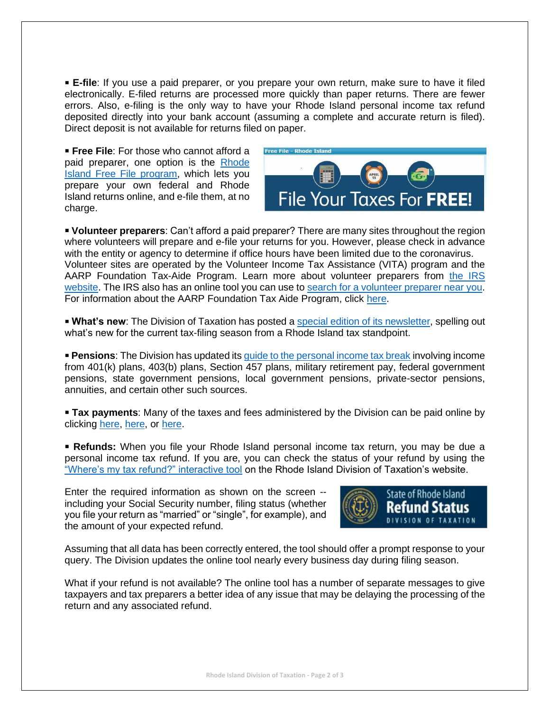▪ **E-file**: If you use a paid preparer, or you prepare your own return, make sure to have it filed electronically. E-filed returns are processed more quickly than paper returns. There are fewer errors. Also, e-filing is the only way to have your Rhode Island personal income tax refund deposited directly into your bank account (assuming a complete and accurate return is filed). Direct deposit is not available for returns filed on paper.

■ **Free File**: For those who cannot afford a paid preparer, one option is the [Rhode](http://www.tax.ri.gov/misc/efile.php)  [Island Free File program,](http://www.tax.ri.gov/misc/efile.php) which lets you prepare your own federal and Rhode Island returns online, and e-file them, at no charge.



▪ **Volunteer preparers**: Can't afford a paid preparer? There are many sites throughout the region where volunteers will prepare and e-file your returns for you. However, please check in advance with the entity or agency to determine if office hours have been limited due to the coronavirus. Volunteer sites are operated by the Volunteer Income Tax Assistance (VITA) program and the AARP Foundation Tax-Aide Program. Learn more about volunteer preparers from [the IRS](https://www.irs.gov/individuals/free-tax-return-preparation-for-you-by-volunteers)  [website.](https://www.irs.gov/individuals/free-tax-return-preparation-for-you-by-volunteers) The IRS also has an online tool you can use to [search for a volunteer preparer near you.](https://irs.treasury.gov/freetaxprep/) For information about the AARP Foundation Tax Aide Program, click [here.](https://www.aarp.org/money/taxes/aarp_taxaide/?intcmp=FTR-LINKS-INFO-TAXAIDE-EHWERE)

**. What's new**: The Division of Taxation has posted a [special edition of its](http://www.tax.ri.gov/newsletter/Rhode_Island_Division_of_Taxation_Newsletter_Filing_Season_2020.pdf) newsletter, spelling out what's new for the current tax-filing season from a Rhode Island tax standpoint.

**• Pensions:** The Division has updated its [guide to the personal income tax break](http://www.tax.ri.gov/notice/Pub_2020_01_pension_income_guide_02_27_20.pdf) involving income from 401(k) plans, 403(b) plans, Section 457 plans, military retirement pay, federal government pensions, state government pensions, local government pensions, private-sector pensions, annuities, and certain other such sources.

**Tax payments**: Many of the taxes and fees administered by the Division can be paid online by clicking [here,](https://www.ri.gov/taxation/business/index.php) [here,](https://taxportal.ri.gov/) or [here.](http://www.tax.ri.gov/misc/creditcard.php)

**Refunds:** When you file your Rhode Island personal income tax return, you may be due a personal income tax refund. If you are, you can check the status of your refund by using the ["Where's my tax refund?" interactive tool](https://www.ri.gov/taxation/refund/) on the Rhode Island Division of Taxation's website.

Enter the required information as shown on the screen - including your Social Security number, filing status (whether you file your return as "married" or "single", for example), and the amount of your expected refund.



Assuming that all data has been correctly entered, the tool should offer a prompt response to your query. The Division updates the online tool nearly every business day during filing season.

What if your refund is not available? The online tool has a number of separate messages to give taxpayers and tax preparers a better idea of any issue that may be delaying the processing of the return and any associated refund.